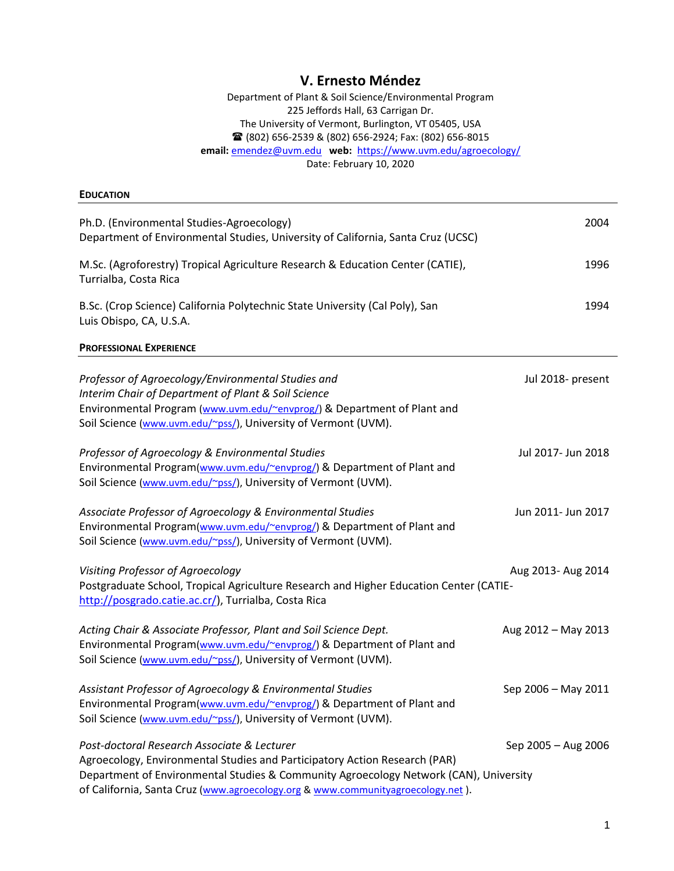# **V. Ernesto Méndez**

Department of Plant & Soil Science/Environmental Program 225 Jeffords Hall, 63 Carrigan Dr. The University of Vermont, Burlington, VT 05405, USA (802) 656-2539 & (802) 656-2924; Fax: (802) 656-8015 **email:** [emendez@uvm.edu](mailto:emendez@uvm.edu) **web:** [https://www.uvm.edu/agroecology/](http://www.uvm.edu/~agroecol/) Date: February 10, 2020

#### **EDUCATION**

| Ph.D. (Environmental Studies-Agroecology)<br>Department of Environmental Studies, University of California, Santa Cruz (UCSC)                                                                                                                                                                         | 2004                |
|-------------------------------------------------------------------------------------------------------------------------------------------------------------------------------------------------------------------------------------------------------------------------------------------------------|---------------------|
| M.Sc. (Agroforestry) Tropical Agriculture Research & Education Center (CATIE),<br>Turrialba, Costa Rica                                                                                                                                                                                               | 1996                |
| B.Sc. (Crop Science) California Polytechnic State University (Cal Poly), San<br>Luis Obispo, CA, U.S.A.                                                                                                                                                                                               | 1994                |
| <b>PROFESSIONAL EXPERIENCE</b>                                                                                                                                                                                                                                                                        |                     |
| Professor of Agroecology/Environmental Studies and<br>Interim Chair of Department of Plant & Soil Science<br>Environmental Program (www.uvm.edu/~envprog/) & Department of Plant and<br>Soil Science (www.uvm.edu/~pss/), University of Vermont (UVM).                                                | Jul 2018- present   |
| Professor of Agroecology & Environmental Studies<br>Environmental Program(www.uvm.edu/~envprog/) & Department of Plant and<br>Soil Science (www.uvm.edu/~pss/), University of Vermont (UVM).                                                                                                          | Jul 2017- Jun 2018  |
| Associate Professor of Agroecology & Environmental Studies<br>Environmental Program(www.uvm.edu/~envprog/) & Department of Plant and<br>Soil Science (www.uvm.edu/~pss/), University of Vermont (UVM).                                                                                                | Jun 2011- Jun 2017  |
| Visiting Professor of Agroecology<br>Postgraduate School, Tropical Agriculture Research and Higher Education Center (CATIE-<br>http://posgrado.catie.ac.cr/), Turrialba, Costa Rica                                                                                                                   | Aug 2013- Aug 2014  |
| Acting Chair & Associate Professor, Plant and Soil Science Dept.<br>Environmental Program(www.uvm.edu/~envprog/) & Department of Plant and<br>Soil Science (www.uvm.edu/~pss/), University of Vermont (UVM).                                                                                          | Aug 2012 - May 2013 |
| Assistant Professor of Agroecology & Environmental Studies<br>Environmental Program(www.uvm.edu/~envprog/) & Department of Plant and<br>Soil Science (www.uvm.edu/~pss/), University of Vermont (UVM).                                                                                                | Sep 2006 - May 2011 |
| Post-doctoral Research Associate & Lecturer<br>Agroecology, Environmental Studies and Participatory Action Research (PAR)<br>Department of Environmental Studies & Community Agroecology Network (CAN), University<br>of California, Santa Cruz (www.agroecology.org & www.communityagroecology.net). | Sep 2005 - Aug 2006 |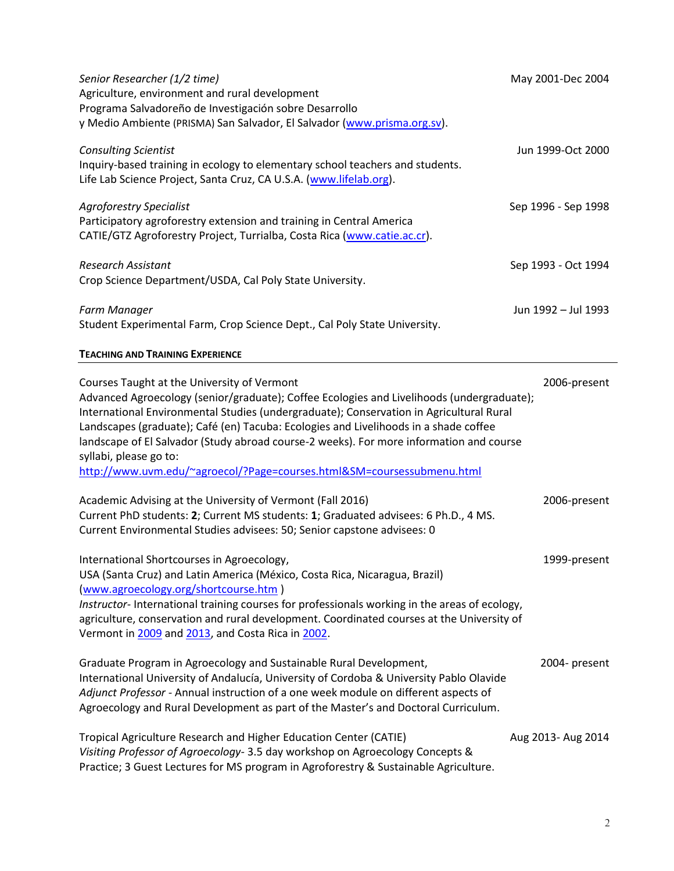| Senior Researcher (1/2 time)<br>Agriculture, environment and rural development<br>Programa Salvadoreño de Investigación sobre Desarrollo<br>y Medio Ambiente (PRISMA) San Salvador, El Salvador (www.prisma.org.sv).                                                                                                                                                                                                                                                                                                       | May 2001-Dec 2004   |
|----------------------------------------------------------------------------------------------------------------------------------------------------------------------------------------------------------------------------------------------------------------------------------------------------------------------------------------------------------------------------------------------------------------------------------------------------------------------------------------------------------------------------|---------------------|
| <b>Consulting Scientist</b><br>Inquiry-based training in ecology to elementary school teachers and students.<br>Life Lab Science Project, Santa Cruz, CA U.S.A. (www.lifelab.org).                                                                                                                                                                                                                                                                                                                                         | Jun 1999-Oct 2000   |
| <b>Agroforestry Specialist</b><br>Participatory agroforestry extension and training in Central America<br>CATIE/GTZ Agroforestry Project, Turrialba, Costa Rica (www.catie.ac.cr).                                                                                                                                                                                                                                                                                                                                         | Sep 1996 - Sep 1998 |
| <b>Research Assistant</b><br>Crop Science Department/USDA, Cal Poly State University.                                                                                                                                                                                                                                                                                                                                                                                                                                      | Sep 1993 - Oct 1994 |
| Farm Manager<br>Student Experimental Farm, Crop Science Dept., Cal Poly State University.                                                                                                                                                                                                                                                                                                                                                                                                                                  | Jun 1992 - Jul 1993 |
| <b>TEACHING AND TRAINING EXPERIENCE</b>                                                                                                                                                                                                                                                                                                                                                                                                                                                                                    |                     |
| Courses Taught at the University of Vermont<br>Advanced Agroecology (senior/graduate); Coffee Ecologies and Livelihoods (undergraduate);<br>International Environmental Studies (undergraduate); Conservation in Agricultural Rural<br>Landscapes (graduate); Café (en) Tacuba: Ecologies and Livelihoods in a shade coffee<br>landscape of El Salvador (Study abroad course-2 weeks). For more information and course<br>syllabi, please go to:<br>http://www.uvm.edu/~agroecol/?Page=courses.html&SM=coursessubmenu.html | 2006-present        |
| Academic Advising at the University of Vermont (Fall 2016)<br>Current PhD students: 2; Current MS students: 1; Graduated advisees: 6 Ph.D., 4 MS.<br>Current Environmental Studies advisees: 50; Senior capstone advisees: 0                                                                                                                                                                                                                                                                                               | 2006-present        |
| International Shortcourses in Agroecology,<br>USA (Santa Cruz) and Latin America (México, Costa Rica, Nicaragua, Brazil)<br>(www.agroecology.org/shortcourse.htm)<br>Instructor- International training courses for professionals working in the areas of ecology,<br>agriculture, conservation and rural development. Coordinated courses at the University of<br>Vermont in 2009 and 2013, and Costa Rica in 2002.                                                                                                       | 1999-present        |
| Graduate Program in Agroecology and Sustainable Rural Development,<br>International University of Andalucía, University of Cordoba & University Pablo Olavide<br>Adjunct Professor - Annual instruction of a one week module on different aspects of<br>Agroecology and Rural Development as part of the Master's and Doctoral Curriculum.                                                                                                                                                                                 | 2004- present       |
| Tropical Agriculture Research and Higher Education Center (CATIE)<br>Visiting Professor of Agroecology- 3.5 day workshop on Agroecology Concepts &<br>Practice; 3 Guest Lectures for MS program in Agroforestry & Sustainable Agriculture.                                                                                                                                                                                                                                                                                 | Aug 2013- Aug 2014  |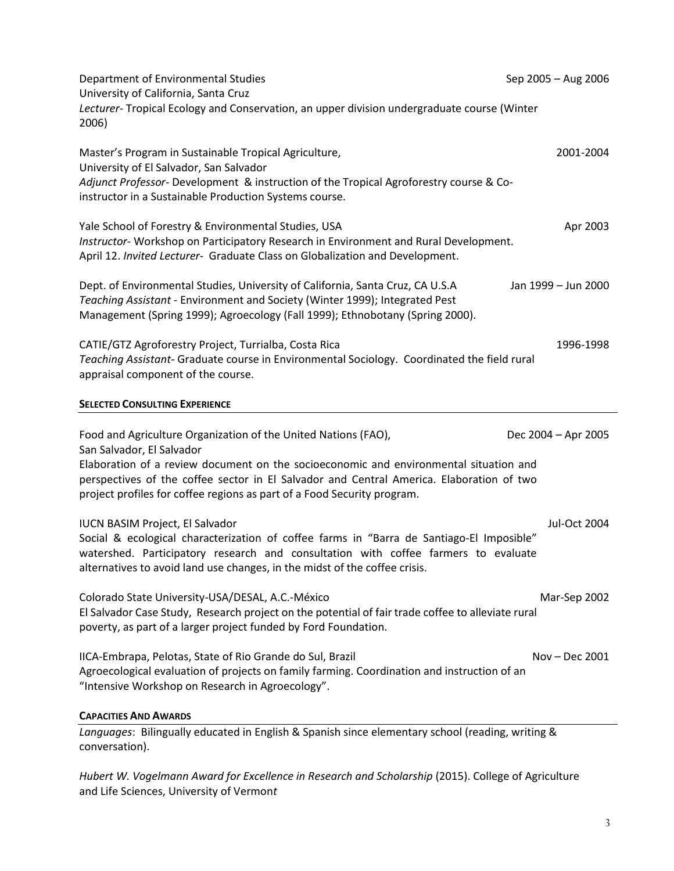| Department of Environmental Studies<br>University of California, Santa Cruz                                                                                                                                                                                                                     | Sep 2005 - Aug 2006 |
|-------------------------------------------------------------------------------------------------------------------------------------------------------------------------------------------------------------------------------------------------------------------------------------------------|---------------------|
| Lecturer- Tropical Ecology and Conservation, an upper division undergraduate course (Winter<br>2006)                                                                                                                                                                                            |                     |
| Master's Program in Sustainable Tropical Agriculture,<br>University of El Salvador, San Salvador                                                                                                                                                                                                | 2001-2004           |
| Adjunct Professor- Development & instruction of the Tropical Agroforestry course & Co-<br>instructor in a Sustainable Production Systems course.                                                                                                                                                |                     |
| Yale School of Forestry & Environmental Studies, USA<br>Instructor- Workshop on Participatory Research in Environment and Rural Development.<br>April 12. Invited Lecturer- Graduate Class on Globalization and Development.                                                                    | Apr 2003            |
| Dept. of Environmental Studies, University of California, Santa Cruz, CA U.S.A<br>Teaching Assistant - Environment and Society (Winter 1999); Integrated Pest<br>Management (Spring 1999); Agroecology (Fall 1999); Ethnobotany (Spring 2000).                                                  | Jan 1999 - Jun 2000 |
| CATIE/GTZ Agroforestry Project, Turrialba, Costa Rica<br>Teaching Assistant- Graduate course in Environmental Sociology. Coordinated the field rural<br>appraisal component of the course.                                                                                                      | 1996-1998           |
| <b>SELECTED CONSULTING EXPERIENCE</b>                                                                                                                                                                                                                                                           |                     |
| Food and Agriculture Organization of the United Nations (FAO),<br>San Salvador, El Salvador<br>Elaboration of a review document on the socioeconomic and environmental situation and                                                                                                            | Dec 2004 - Apr 2005 |
| perspectives of the coffee sector in El Salvador and Central America. Elaboration of two<br>project profiles for coffee regions as part of a Food Security program.                                                                                                                             |                     |
| IUCN BASIM Project, El Salvador<br>Social & ecological characterization of coffee farms in "Barra de Santiago-El Imposible"<br>watershed. Participatory research and consultation with coffee farmers to evaluate<br>alternatives to avoid land use changes, in the midst of the coffee crisis. | Jul-Oct 2004        |
| Colorado State University-USA/DESAL, A.C.-México<br>El Salvador Case Study, Research project on the potential of fair trade coffee to alleviate rural<br>poverty, as part of a larger project funded by Ford Foundation.                                                                        | Mar-Sep 2002        |
| IICA-Embrapa, Pelotas, State of Rio Grande do Sul, Brazil<br>Agroecological evaluation of projects on family farming. Coordination and instruction of an<br>"Intensive Workshop on Research in Agroecology".                                                                                    | Nov - Dec 2001      |
| <b>CAPACITIES AND AWARDS</b>                                                                                                                                                                                                                                                                    |                     |
| Languages: Bilingually educated in English & Spanish since elementary school (reading, writing &<br>conversation).                                                                                                                                                                              |                     |

*Hubert W. Vogelmann Award for Excellence in Research and Scholarship* (2015). College of Agriculture and Life Sciences, University of Vermon*t*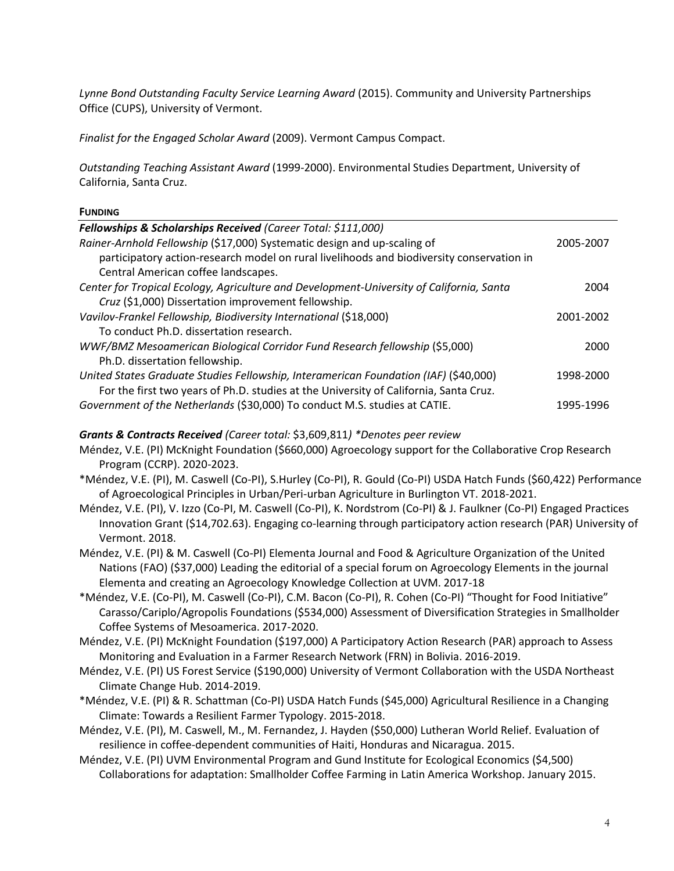*Lynne Bond Outstanding Faculty Service Learning Award* (2015). Community and University Partnerships Office (CUPS), University of Vermont.

*Finalist for the Engaged Scholar Award* (2009). Vermont Campus Compact.

*Outstanding Teaching Assistant Award* (1999-2000). Environmental Studies Department, University of California, Santa Cruz.

#### **FUNDING**

| Fellowships & Scholarships Received (Career Total: \$111,000)                             |           |
|-------------------------------------------------------------------------------------------|-----------|
| Rainer-Arnhold Fellowship (\$17,000) Systematic design and up-scaling of                  | 2005-2007 |
| participatory action-research model on rural livelihoods and biodiversity conservation in |           |
| Central American coffee landscapes.                                                       |           |
| Center for Tropical Ecology, Agriculture and Development-University of California, Santa  | 2004      |
| Cruz (\$1,000) Dissertation improvement fellowship.                                       |           |
| Vavilov-Frankel Fellowship, Biodiversity International (\$18,000)                         | 2001-2002 |
| To conduct Ph.D. dissertation research.                                                   |           |
| WWF/BMZ Mesoamerican Biological Corridor Fund Research fellowship (\$5,000)               | 2000      |
| Ph.D. dissertation fellowship.                                                            |           |
| United States Graduate Studies Fellowship, Interamerican Foundation (IAF) (\$40,000)      | 1998-2000 |
| For the first two years of Ph.D. studies at the University of California, Santa Cruz.     |           |
| Government of the Netherlands (\$30,000) To conduct M.S. studies at CATIE.                | 1995-1996 |
|                                                                                           |           |
|                                                                                           |           |

*Grants & Contracts Received (Career total:* \$3,609,811*) \*Denotes peer review*

Méndez, V.E. (PI) McKnight Foundation (\$660,000) Agroecology support for the Collaborative Crop Research Program (CCRP). 2020-2023.

- \*Méndez, V.E. (PI), M. Caswell (Co-PI), S.Hurley (Co-PI), R. Gould (Co-PI) USDA Hatch Funds (\$60,422) Performance of Agroecological Principles in Urban/Peri-urban Agriculture in Burlington VT. 2018-2021.
- Méndez, V.E. (PI), V. Izzo (Co-PI, M. Caswell (Co-PI), K. Nordstrom (Co-PI) & J. Faulkner (Co-PI) Engaged Practices Innovation Grant (\$14,702.63). Engaging co-learning through participatory action research (PAR) University of Vermont. 2018.
- Méndez, V.E. (PI) & M. Caswell (Co-PI) Elementa Journal and Food & Agriculture Organization of the United Nations (FAO) (\$37,000) Leading the editorial of a special forum on Agroecology Elements in the journal Elementa and creating an Agroecology Knowledge Collection at UVM. 2017-18
- \*Méndez, V.E. (Co-PI), M. Caswell (Co-PI), C.M. Bacon (Co-PI), R. Cohen (Co-PI) "Thought for Food Initiative" Carasso/Cariplo/Agropolis Foundations (\$534,000) Assessment of Diversification Strategies in Smallholder Coffee Systems of Mesoamerica. 2017-2020.
- Méndez, V.E. (PI) McKnight Foundation (\$197,000) A Participatory Action Research (PAR) approach to Assess Monitoring and Evaluation in a Farmer Research Network (FRN) in Bolivia. 2016-2019.
- Méndez, V.E. (PI) US Forest Service (\$190,000) University of Vermont Collaboration with the USDA Northeast Climate Change Hub. 2014-2019.
- \*Méndez, V.E. (PI) & R. Schattman (Co-PI) USDA Hatch Funds (\$45,000) Agricultural Resilience in a Changing Climate: Towards a Resilient Farmer Typology. 2015-2018.
- Méndez, V.E. (PI), M. Caswell, M., M. Fernandez, J. Hayden (\$50,000) Lutheran World Relief. Evaluation of resilience in coffee-dependent communities of Haiti, Honduras and Nicaragua. 2015.
- Méndez, V.E. (PI) UVM Environmental Program and Gund Institute for Ecological Economics (\$4,500) Collaborations for adaptation: Smallholder Coffee Farming in Latin America Workshop. January 2015.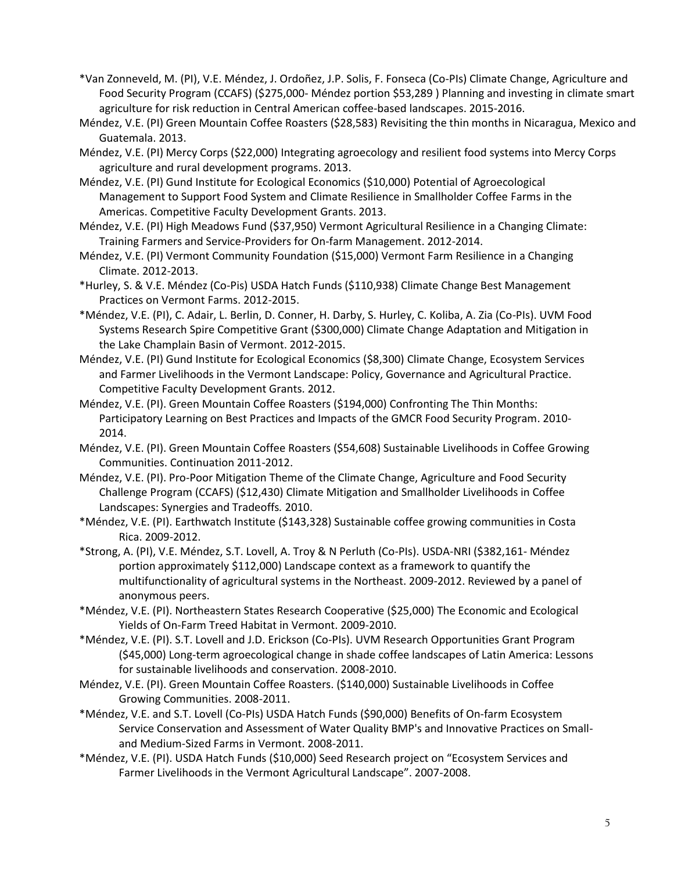- \*Van Zonneveld, M. (PI), V.E. Méndez, J. Ordoñez, J.P. Solis, F. Fonseca (Co-PIs) Climate Change, Agriculture and Food Security Program (CCAFS) (\$275,000- Méndez portion \$53,289 ) Planning and investing in climate smart agriculture for risk reduction in Central American coffee-based landscapes. 2015-2016.
- Méndez, V.E. (PI) Green Mountain Coffee Roasters (\$28,583) Revisiting the thin months in Nicaragua, Mexico and Guatemala. 2013.
- Méndez, V.E. (PI) Mercy Corps (\$22,000) Integrating agroecology and resilient food systems into Mercy Corps agriculture and rural development programs. 2013.
- Méndez, V.E. (PI) Gund Institute for Ecological Economics (\$10,000) Potential of Agroecological Management to Support Food System and Climate Resilience in Smallholder Coffee Farms in the Americas. Competitive Faculty Development Grants. 2013.
- Méndez, V.E. (PI) High Meadows Fund (\$37,950) Vermont Agricultural Resilience in a Changing Climate: Training Farmers and Service-Providers for On-farm Management. 2012-2014.
- Méndez, V.E. (PI) Vermont Community Foundation (\$15,000) Vermont Farm Resilience in a Changing Climate. 2012-2013.
- \*Hurley, S. & V.E. Méndez (Co-Pis) USDA Hatch Funds (\$110,938) Climate Change Best Management Practices on Vermont Farms. 2012-2015.
- \*Méndez, V.E. (PI), C. Adair, L. Berlin, D. Conner, H. Darby, S. Hurley, C. Koliba, A. Zia (Co-PIs). UVM Food Systems Research Spire Competitive Grant (\$300,000) Climate Change Adaptation and Mitigation in the Lake Champlain Basin of Vermont. 2012-2015.
- Méndez, V.E. (PI) Gund Institute for Ecological Economics (\$8,300) Climate Change, Ecosystem Services and Farmer Livelihoods in the Vermont Landscape: Policy, Governance and Agricultural Practice. Competitive Faculty Development Grants. 2012.
- Méndez, V.E. (PI). Green Mountain Coffee Roasters (\$194,000) Confronting The Thin Months: Participatory Learning on Best Practices and Impacts of the GMCR Food Security Program. 2010- 2014.
- Méndez, V.E. (PI). Green Mountain Coffee Roasters (\$54,608) Sustainable Livelihoods in Coffee Growing Communities. Continuation 2011-2012.
- Méndez, V.E. (PI). Pro-Poor Mitigation Theme of the Climate Change, Agriculture and Food Security Challenge Program (CCAFS) (\$12,430) Climate Mitigation and Smallholder Livelihoods in Coffee Landscapes: Synergies and Tradeoffs*.* 2010.
- \*Méndez, V.E. (PI). Earthwatch Institute (\$143,328) Sustainable coffee growing communities in Costa Rica. 2009-2012.
- \*Strong, A. (PI), V.E. Méndez, S.T. Lovell, A. Troy & N Perluth (Co-PIs). USDA-NRI (\$382,161- Méndez portion approximately \$112,000) Landscape context as a framework to quantify the multifunctionality of agricultural systems in the Northeast. 2009-2012. Reviewed by a panel of anonymous peers.
- \*Méndez, V.E. (PI). Northeastern States Research Cooperative (\$25,000) The Economic and Ecological Yields of On-Farm Treed Habitat in Vermont. 2009-2010.
- \*Méndez, V.E. (PI). S.T. Lovell and J.D. Erickson (Co-PIs). UVM Research Opportunities Grant Program (\$45,000) Long-term agroecological change in shade coffee landscapes of Latin America: Lessons for sustainable livelihoods and conservation. 2008-2010.
- Méndez, V.E. (PI). Green Mountain Coffee Roasters. (\$140,000) Sustainable Livelihoods in Coffee Growing Communities. 2008-2011.
- \*Méndez, V.E. and S.T. Lovell (Co-PIs) USDA Hatch Funds (\$90,000) Benefits of On-farm Ecosystem Service Conservation and Assessment of Water Quality BMP's and Innovative Practices on Smalland Medium-Sized Farms in Vermont. 2008-2011.
- \*Méndez, V.E. (PI). USDA Hatch Funds (\$10,000) Seed Research project on "Ecosystem Services and Farmer Livelihoods in the Vermont Agricultural Landscape". 2007-2008.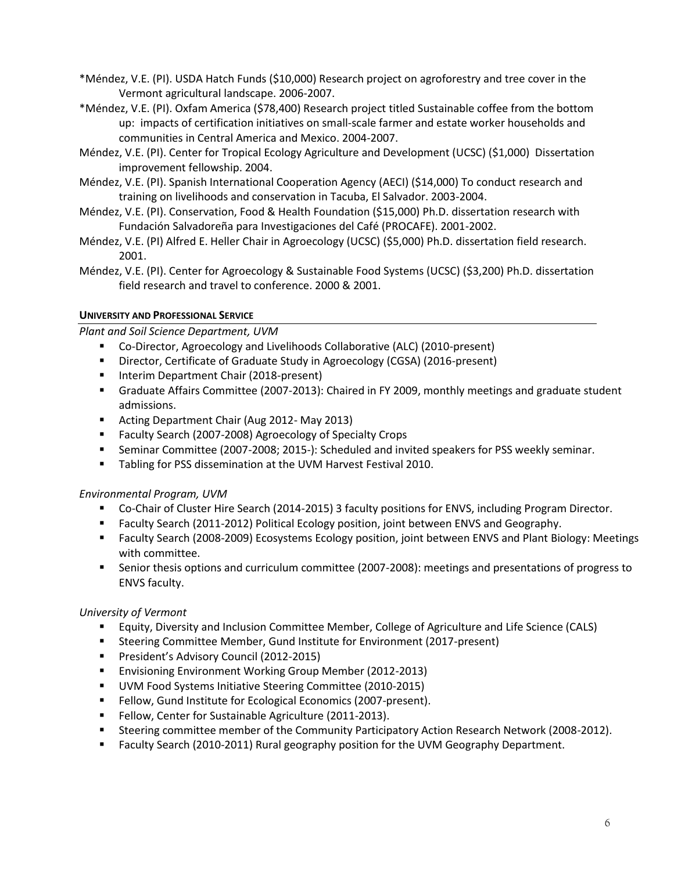- \*Méndez, V.E. (PI). USDA Hatch Funds (\$10,000) Research project on agroforestry and tree cover in the Vermont agricultural landscape. 2006-2007.
- \*Méndez, V.E. (PI). Oxfam America (\$78,400) Research project titled Sustainable coffee from the bottom up: impacts of certification initiatives on small-scale farmer and estate worker households and communities in Central America and Mexico. 2004-2007.
- Méndez, V.E. (PI). Center for Tropical Ecology Agriculture and Development (UCSC) (\$1,000) Dissertation improvement fellowship. 2004.
- Méndez, V.E. (PI). Spanish International Cooperation Agency (AECI) (\$14,000) To conduct research and training on livelihoods and conservation in Tacuba, El Salvador. 2003-2004.
- Méndez, V.E. (PI). Conservation, Food & Health Foundation (\$15,000) Ph.D. dissertation research with Fundación Salvadoreña para Investigaciones del Café (PROCAFE). 2001-2002.
- Méndez, V.E. (PI) Alfred E. Heller Chair in Agroecology (UCSC) (\$5,000) Ph.D. dissertation field research. 2001.
- Méndez, V.E. (PI). Center for Agroecology & Sustainable Food Systems (UCSC) (\$3,200) Ph.D. dissertation field research and travel to conference. 2000 & 2001.

### **UNIVERSITY AND PROFESSIONAL SERVICE**

*Plant and Soil Science Department, UVM*

- Co-Director, Agroecology and Livelihoods Collaborative (ALC) (2010-present)
- **Director, Certificate of Graduate Study in Agroecology (CGSA) (2016-present)**
- **Interim Department Chair (2018-present)**
- Graduate Affairs Committee (2007-2013): Chaired in FY 2009, monthly meetings and graduate student admissions.
- **Acting Department Chair (Aug 2012- May 2013)**
- **Faculty Search (2007-2008) Agroecology of Specialty Crops**
- Seminar Committee (2007-2008; 2015-): Scheduled and invited speakers for PSS weekly seminar.
- **Tabling for PSS dissemination at the UVM Harvest Festival 2010.**

## *Environmental Program, UVM*

- Co-Chair of Cluster Hire Search (2014-2015) 3 faculty positions for ENVS, including Program Director.
- Faculty Search (2011-2012) Political Ecology position, joint between ENVS and Geography.
- Faculty Search (2008-2009) Ecosystems Ecology position, joint between ENVS and Plant Biology: Meetings with committee.
- Senior thesis options and curriculum committee (2007-2008): meetings and presentations of progress to ENVS faculty.

## *University of Vermont*

- Equity, Diversity and Inclusion Committee Member, College of Agriculture and Life Science (CALS)
- Steering Committee Member, Gund Institute for Environment (2017-present)
- **President's Advisory Council (2012-2015)**
- **Envisioning Environment Working Group Member (2012-2013)**
- UVM Food Systems Initiative Steering Committee (2010-2015)
- Fellow, Gund Institute for Ecological Economics (2007-present).
- Fellow, Center for Sustainable Agriculture (2011-2013).
- Steering committee member of the Community Participatory Action Research Network (2008-2012).
- Faculty Search (2010-2011) Rural geography position for the UVM Geography Department.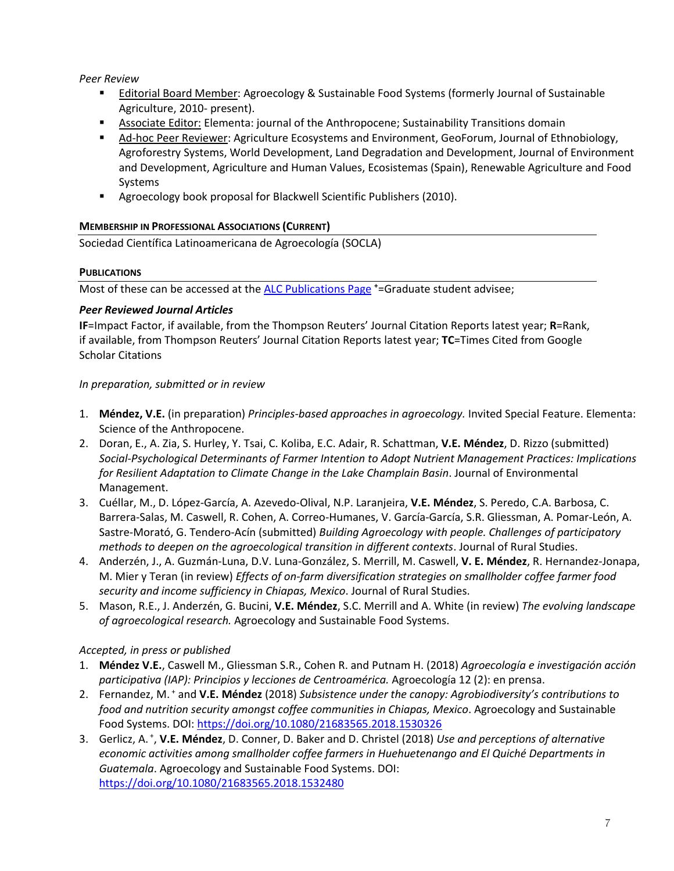## *Peer Review*

- Editorial Board Member: Agroecology & Sustainable Food Systems (formerly Journal of Sustainable Agriculture, 2010- present).
- Associate Editor: Elementa: journal of the Anthropocene; Sustainability Transitions domain
- Ad-hoc Peer Reviewer: Agriculture Ecosystems and Environment, GeoForum, Journal of Ethnobiology, Agroforestry Systems, World Development, Land Degradation and Development, Journal of Environment and Development, Agriculture and Human Values, Ecosistemas (Spain), Renewable Agriculture and Food Systems
- **Agroecology book proposal for Blackwell Scientific Publishers (2010).**

## **MEMBERSHIP IN PROFESSIONAL ASSOCIATIONS (CURRENT)**

Sociedad Científica Latinoamericana de Agroecología (SOCLA)

### **PUBLICATIONS**

Most of these can be accessed at th[e ALC Publications Page](https://www.uvm.edu/agroecology/research/publications/) **<sup>+</sup>**=Graduate student advisee;

### *Peer Reviewed Journal Articles*

**IF**=Impact Factor, if available, from the Thompson Reuters' Journal Citation Reports latest year; **R**=Rank, if available, from Thompson Reuters' Journal Citation Reports latest year; **TC**=Times Cited from Google Scholar Citations

### *In preparation, submitted or in review*

- 1. **Méndez, V.E.** (in preparation) *Principles-based approaches in agroecology.* Invited Special Feature. Elementa: Science of the Anthropocene.
- 2. Doran, E., A. Zia, S. Hurley, Y. Tsai, C. Koliba, E.C. Adair, R. Schattman, **V.E. Méndez**, D. Rizzo (submitted) *Social-Psychological Determinants of Farmer Intention to Adopt Nutrient Management Practices: Implications for Resilient Adaptation to Climate Change in the Lake Champlain Basin*. Journal of Environmental Management.
- 3. Cuéllar, M., D. López-García, A. Azevedo-Olival, N.P. Laranjeira, **V.E. Méndez**, S. Peredo, C.A. Barbosa, C. Barrera-Salas, M. Caswell, R. Cohen, A. Correo-Humanes, V. García-García, S.R. Gliessman, A. Pomar-León, A. Sastre-Morató, G. Tendero-Acín (submitted) *Building Agroecology with people. Challenges of participatory methods to deepen on the agroecological transition in different contexts*. Journal of Rural Studies.
- 4. Anderzén, J., A. Guzmán-Luna, D.V. Luna-González, S. Merrill, M. Caswell, **V. E. Méndez**, R. Hernandez-Jonapa, M. Mier y Teran (in review) *Effects of on-farm diversification strategies on smallholder coffee farmer food security and income sufficiency in Chiapas, Mexico*. Journal of Rural Studies.
- 5. Mason, R.E., J. Anderzén, G. Bucini, **V.E. Méndez**, S.C. Merrill and A. White (in review) *The evolving landscape of agroecological research.* Agroecology and Sustainable Food Systems.

## *Accepted, in press or published*

- 1. **Méndez V.E.**, Caswell M., Gliessman S.R., Cohen R. and Putnam H. (2018) *Agroecología e investigación acción participativa (IAP): Principios y lecciones de Centroamérica.* Agroecología 12 (2): en prensa.
- 2. Fernandez, M. <sup>+</sup> and **V.E. Méndez** (2018) *Subsistence under the canopy: Agrobiodiversity's contributions to food and nutrition security amongst coffee communities in Chiapas, Mexico*. Agroecology and Sustainable Food Systems. DOI:<https://doi.org/10.1080/21683565.2018.1530326>
- 3. Gerlicz, A. <sup>+</sup> , **V.E. Méndez**, D. Conner, D. Baker and D. Christel (2018) *Use and perceptions of alternative economic activities among smallholder coffee farmers in Huehuetenango and El Quiché Departments in Guatemala*. Agroecology and Sustainable Food Systems. DOI: <https://doi.org/10.1080/21683565.2018.1532480>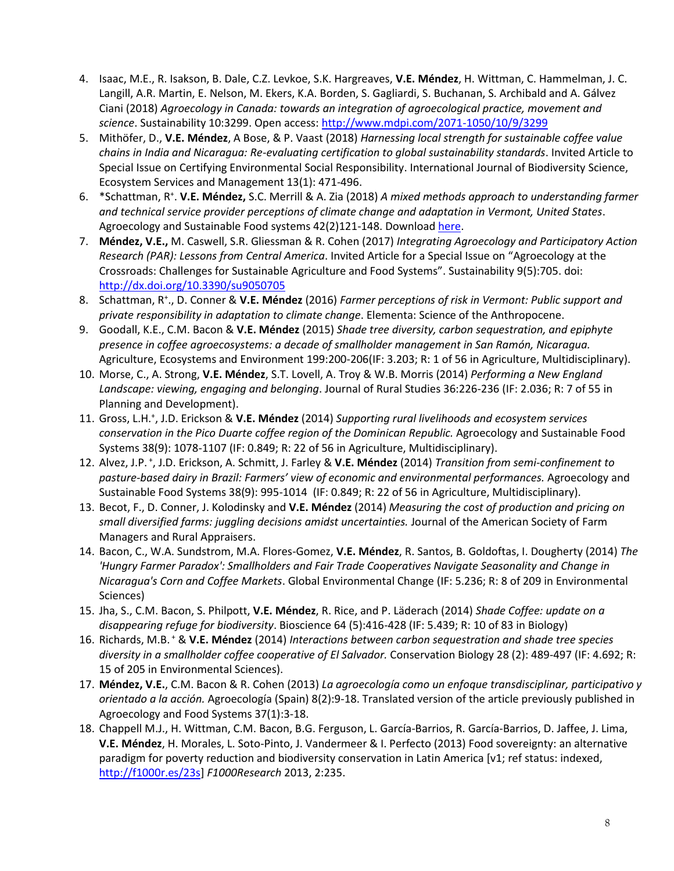- 4. Isaac, M.E., R. Isakson, B. Dale, C.Z. Levkoe, S.K. Hargreaves, **V.E. Méndez**, H. Wittman, C. Hammelman, J. C. Langill, A.R. Martin, E. Nelson, M. Ekers, K.A. Borden, S. Gagliardi, S. Buchanan, S. Archibald and A. Gálvez Ciani (2018) *Agroecology in Canada: towards an integration of agroecological practice, movement and science*. Sustainability 10:3299. Open access:<http://www.mdpi.com/2071-1050/10/9/3299>
- 5. Mithöfer, D., **V.E. Méndez**, A Bose, & P. Vaast (2018) *Harnessing local strength for sustainable coffee value chains in India and Nicaragua: Re-evaluating certification to global sustainability standards*. Invited Article to Special Issue on Certifying Environmental Social Responsibility. International Journal of Biodiversity Science, Ecosystem Services and Management 13(1): 471-496.
- 6. \*Schattman, R<sup>+</sup> . **V.E. Méndez,** S.C. Merrill & A. Zia (2018) *A mixed methods approach to understanding farmer and technical service provider perceptions of climate change and adaptation in Vermont, United States*. Agroecology and Sustainable Food systems 42(2)121-148. Download [here.](https://www.uvm.edu/agroecology/publication/mixed-methods-approach-understanding-farmer-technical-service-provider-perceptions-climate-change-adaptation-vermont-united-states/)
- 7. **Méndez, V.E.,** M. Caswell, S.R. Gliessman & R. Cohen (2017) *Integrating Agroecology and Participatory Action Research (PAR): Lessons from Central America*. Invited Article for a Special Issue on "Agroecology at the Crossroads: Challenges for Sustainable Agriculture and Food Systems". Sustainability 9(5):705. doi: <http://dx.doi.org/10.3390/su9050705>
- 8. Schattman, R<sup>+</sup> ., D. Conner & **V.E. Méndez** (2016) *Farmer perceptions of risk in Vermont: Public support and private responsibility in adaptation to climate change*. Elementa: Science of the Anthropocene.
- 9. Goodall, K.E., C.M. Bacon & **V.E. Méndez** (2015) *Shade tree diversity, carbon sequestration, and epiphyte presence in coffee agroecosystems: a decade of smallholder management in San Ramón, Nicaragua.*  Agriculture, Ecosystems and Environment 199:200-206(IF: 3.203; R: 1 of 56 in Agriculture, Multidisciplinary).
- 10. Morse, C., A. Strong, **V.E. Méndez**, S.T. Lovell, A. Troy & W.B. Morris (2014) *Performing a New England Landscape: viewing, engaging and belonging*. Journal of Rural Studies 36:226-236 (IF: 2.036; R: 7 of 55 in Planning and Development).
- 11. Gross, L.H.<sup>+</sup> , J.D. Erickson & **V.E. Méndez** (2014) *Supporting rural livelihoods and ecosystem services conservation in the Pico Duarte coffee region of the Dominican Republic.* Agroecology and Sustainable Food Systems 38(9): 1078-1107 (IF: 0.849; R: 22 of 56 in Agriculture, Multidisciplinary).
- 12. Alvez, J.P. <sup>+</sup> , J.D. Erickson, A. Schmitt, J. Farley & **V.E. Méndez** (2014) *Transition from semi-confinement to pasture-based dairy in Brazil: Farmers' view of economic and environmental performances.* Agroecology and Sustainable Food Systems 38(9): 995-1014 (IF: 0.849; R: 22 of 56 in Agriculture, Multidisciplinary).
- 13. Becot, F., D. Conner, J. Kolodinsky and **V.E. Méndez** (2014) *Measuring the cost of production and pricing on small diversified farms: juggling decisions amidst uncertainties.* Journal of the American Society of Farm Managers and Rural Appraisers.
- 14. Bacon, C., W.A. Sundstrom, M.A. Flores-Gomez, **V.E. Méndez**, R. Santos, B. Goldoftas, I. Dougherty (2014) *The 'Hungry Farmer Paradox': Smallholders and Fair Trade Cooperatives Navigate Seasonality and Change in Nicaragua's Corn and Coffee Markets*. Global Environmental Change (IF: 5.236; R: 8 of 209 in Environmental Sciences)
- 15. Jha, S., C.M. Bacon, S. Philpott, **V.E. Méndez**, R. Rice, and P. Läderach (2014) *Shade Coffee: update on a disappearing refuge for biodiversity*. Bioscience 64 (5):416-428 (IF: 5.439; R: 10 of 83 in Biology)
- 16. Richards, M.B. <sup>+</sup> & **V.E. Méndez** (2014) *Interactions between carbon sequestration and shade tree species diversity in a smallholder coffee cooperative of El Salvador.* Conservation Biology 28 (2): 489-497 (IF: 4.692; R: 15 of 205 in Environmental Sciences).
- 17. **Méndez, V.E.**, C.M. Bacon & R. Cohen (2013) *La agroecología como un enfoque transdisciplinar, participativo y orientado a la acción.* Agroecología (Spain) 8(2):9-18. Translated version of the article previously published in Agroecology and Food Systems 37(1):3-18.
- 18. Chappell M.J., H. Wittman, C.M. Bacon, B.G. Ferguson, L. García-Barrios, R. García-Barrios, D. Jaffee, J. Lima, **V.E. Méndez**, H. Morales, L. Soto-Pinto, J. Vandermeer & I. Perfecto (2013) Food sovereignty: an alternative paradigm for poverty reduction and biodiversity conservation in Latin America [v1; ref status: indexed, [http://f1000r.es/23s\]](http://f1000r.es/23s) *F1000Research* 2013, 2:235.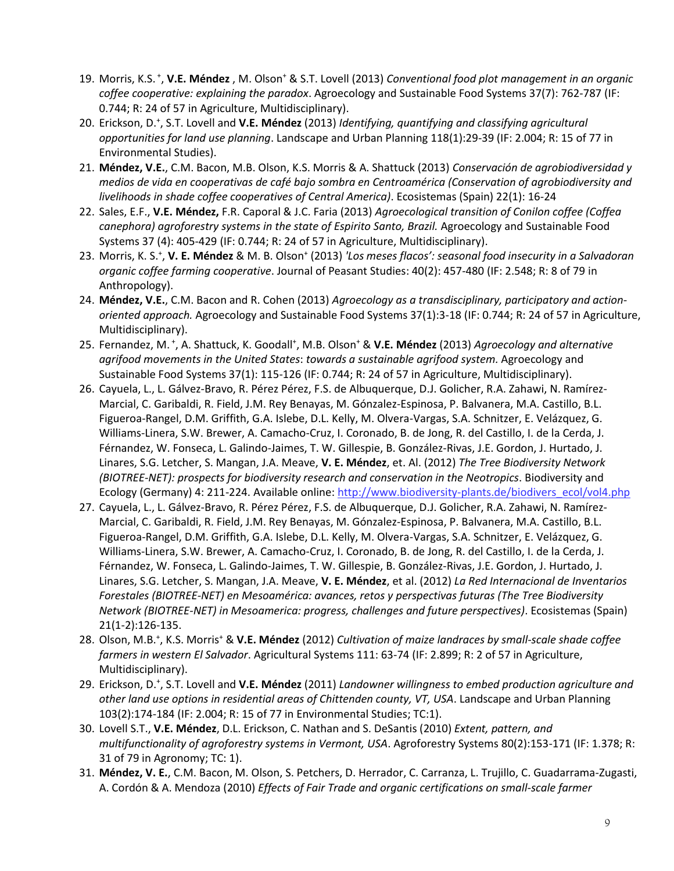- 19. Morris, K.S. <sup>+</sup> , **V.E. Méndez** , M. Olson<sup>+</sup> & S.T. Lovell (2013) *Conventional food plot management in an organic coffee cooperative: explaining the paradox*. Agroecology and Sustainable Food Systems 37(7): 762-787 (IF: 0.744; R: 24 of 57 in Agriculture, Multidisciplinary).
- 20. Erickson, D.<sup>+</sup> , S.T. Lovell and **V.E. Méndez** (2013) *Identifying, quantifying and classifying agricultural opportunities for land use planning*. Landscape and Urban Planning 118(1):29-39 (IF: 2.004; R: 15 of 77 in Environmental Studies).
- 21. **Méndez, V.E.**, C.M. Bacon, M.B. Olson, K.S. Morris & A. Shattuck (2013) *Conservación de agrobiodiversidad y medios de vida en cooperativas de café bajo sombra en Centroamérica (Conservation of agrobiodiversity and livelihoods in shade coffee cooperatives of Central America)*. Ecosistemas (Spain) 22(1): 16-24
- 22. Sales, E.F., **V.E. Méndez,** F.R. Caporal & J.C. Faria (2013) *Agroecological transition of Conilon coffee (Coffea*  canephora) agroforestry systems in the state of Espirito Santo, Brazil. Agroecology and Sustainable Food Systems 37 (4): 405-429 (IF: 0.744; R: 24 of 57 in Agriculture, Multidisciplinary).
- 23. Morris, K. S.<sup>+</sup>, **V. E. Méndez** & M. B. Olson<sup>+</sup> (2013) 'Los meses flacos': seasonal food insecurity in a Salvadoran *organic coffee farming cooperative*. Journal of Peasant Studies: 40(2): 457-480 (IF: 2.548; R: 8 of 79 in Anthropology).
- 24. **Méndez, V.E.**, C.M. Bacon and R. Cohen (2013) *Agroecology as a transdisciplinary, participatory and actionoriented approach.* Agroecology and Sustainable Food Systems 37(1):3-18 (IF: 0.744; R: 24 of 57 in Agriculture, Multidisciplinary).
- 25. Fernandez, M.<sup>+</sup>, A. Shattuck, K. Goodall<sup>+</sup>, M.B. Olson<sup>+</sup> & **V.E. Méndez** (2013) *Agroecology and alternative agrifood movements in the United States*: *towards a sustainable agrifood system.* Agroecology and Sustainable Food Systems 37(1): 115-126 (IF: 0.744; R: 24 of 57 in Agriculture, Multidisciplinary).
- 26. Cayuela, L., L. Gálvez-Bravo, R. Pérez Pérez, F.S. de Albuquerque, D.J. Golicher, R.A. Zahawi, N. Ramírez-Marcial, C. Garibaldi, R. Field, J.M. Rey Benayas, M. Gónzalez-Espinosa, P. Balvanera, M.A. Castillo, B.L. Figueroa-Rangel, D.M. Griffith, G.A. Islebe, D.L. Kelly, M. Olvera-Vargas, S.A. Schnitzer, E. Velázquez, G. Williams-Linera, S.W. Brewer, A. Camacho-Cruz, I. Coronado, B. de Jong, R. del Castillo, I. de la Cerda, J. Férnandez, W. Fonseca, L. Galindo-Jaimes, T. W. Gillespie, B. González-Rivas, J.E. Gordon, J. Hurtado, J. Linares, S.G. Letcher, S. Mangan, J.A. Meave, **V. E. Méndez**, et. Al. (2012) *The Tree Biodiversity Network (BIOTREE-NET): prospects for biodiversity research and conservation in the Neotropics*. Biodiversity and Ecology (Germany) 4: 211-224. Available online[: http://www.biodiversity-plants.de/biodivers\\_ecol/vol4.php](http://www.biodiversity-plants.de/biodivers_ecol/vol4.php)
- 27. Cayuela, L., L. Gálvez-Bravo, R. Pérez Pérez, F.S. de Albuquerque, D.J. Golicher, R.A. Zahawi, N. Ramírez-Marcial, C. Garibaldi, R. Field, J.M. Rey Benayas, M. Gónzalez-Espinosa, P. Balvanera, M.A. Castillo, B.L. Figueroa-Rangel, D.M. Griffith, G.A. Islebe, D.L. Kelly, M. Olvera-Vargas, S.A. Schnitzer, E. Velázquez, G. Williams-Linera, S.W. Brewer, A. Camacho-Cruz, I. Coronado, B. de Jong, R. del Castillo, I. de la Cerda, J. Férnandez, W. Fonseca, L. Galindo-Jaimes, T. W. Gillespie, B. González-Rivas, J.E. Gordon, J. Hurtado, J. Linares, S.G. Letcher, S. Mangan, J.A. Meave, **V. E. Méndez**, et al. (2012) *La Red Internacional de Inventarios Forestales (BIOTREE-NET) en Mesoamérica: avances, retos y perspectivas futuras (The Tree Biodiversity Network (BIOTREE-NET) in Mesoamerica: progress, challenges and future perspectives)*. Ecosistemas (Spain) 21(1-2):126-135.
- 28. Olson, M.B.<sup>+</sup> , K.S. Morris<sup>+</sup> & **V.E. Méndez** (2012) *Cultivation of maize landraces by small-scale shade coffee farmers in western El Salvador*. Agricultural Systems 111: 63-74 (IF: 2.899; R: 2 of 57 in Agriculture, Multidisciplinary).
- 29. Erickson, D.<sup>+</sup> , S.T. Lovell and **V.E. Méndez** (2011) *Landowner willingness to embed production agriculture and other land use options in residential areas of Chittenden county, VT, USA*. Landscape and Urban Planning 103(2):174-184 (IF: 2.004; R: 15 of 77 in Environmental Studies; TC:1).
- 30. Lovell S.T., **V.E. Méndez**, D.L. Erickson, C. Nathan and S. DeSantis (2010) *Extent, pattern, and multifunctionality of agroforestry systems in Vermont, USA*. Agroforestry Systems 80(2):153-171 (IF: 1.378; R: 31 of 79 in Agronomy; TC: 1).
- 31. **Méndez, V. E.**, C.M. Bacon, M. Olson, S. Petchers, D. Herrador, C. Carranza, L. Trujillo, C. Guadarrama-Zugasti, A. Cordón & A. Mendoza (2010) *Effects of Fair Trade and organic certifications on small-scale farmer*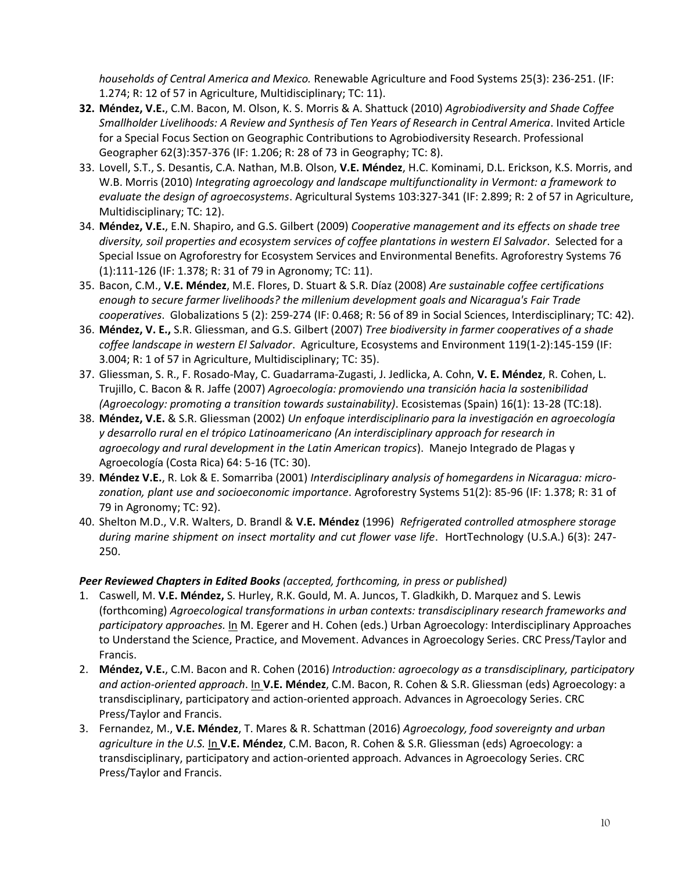*households of Central America and Mexico.* Renewable Agriculture and Food Systems 25(3): 236-251. (IF: 1.274; R: 12 of 57 in Agriculture, Multidisciplinary; TC: 11).

- **32. Méndez, V.E.**, C.M. Bacon, M. Olson, K. S. Morris & A. Shattuck (2010) *Agrobiodiversity and Shade Coffee Smallholder Livelihoods: A Review and Synthesis of Ten Years of Research in Central America*. Invited Article for a Special Focus Section on Geographic Contributions to Agrobiodiversity Research. Professional Geographer 62(3):357-376 (IF: 1.206; R: 28 of 73 in Geography; TC: 8).
- 33. Lovell, S.T., S. Desantis, C.A. Nathan, M.B. Olson, **V.E. Méndez**, H.C. Kominami, D.L. Erickson, K.S. Morris, and W.B. Morris (2010) *Integrating agroecology and landscape multifunctionality in Vermont: a framework to evaluate the design of agroecosystems*. Agricultural Systems 103:327-341 (IF: 2.899; R: 2 of 57 in Agriculture, Multidisciplinary; TC: 12).
- 34. **Méndez, V.E.**, E.N. Shapiro, and G.S. Gilbert (2009) *Cooperative management and its effects on shade tree diversity, soil properties and ecosystem services of coffee plantations in western El Salvador*. Selected for a Special Issue on Agroforestry for Ecosystem Services and Environmental Benefits. Agroforestry Systems 76 (1):111-126 (IF: 1.378; R: 31 of 79 in Agronomy; TC: 11).
- 35. Bacon, C.M., **V.E. Méndez**, M.E. Flores, D. Stuart & S.R. Díaz (2008) *Are sustainable coffee certifications enough to secure farmer livelihoods? the millenium development goals and Nicaragua's Fair Trade cooperatives*. Globalizations 5 (2): 259-274 (IF: 0.468; R: 56 of 89 in Social Sciences, Interdisciplinary; TC: 42).
- 36. **Méndez, V. E.,** S.R. Gliessman, and G.S. Gilbert (2007) *Tree biodiversity in farmer cooperatives of a shade coffee landscape in western El Salvador*. Agriculture, Ecosystems and Environment 119(1-2):145-159 (IF: 3.004; R: 1 of 57 in Agriculture, Multidisciplinary; TC: 35).
- 37. Gliessman, S. R., F. Rosado-May, C. Guadarrama-Zugasti, J. Jedlicka, A. Cohn, **V. E. Méndez**, R. Cohen, L. Trujillo, C. Bacon & R. Jaffe (2007) *Agroecología: promoviendo una transición hacia la sostenibilidad (Agroecology: promoting a transition towards sustainability)*. Ecosistemas (Spain) 16(1): 13-28 (TC:18).
- 38. **Méndez, V.E.** & S.R. Gliessman (2002) *Un enfoque interdisciplinario para la investigación en agroecología y desarrollo rural en el trópico Latinoamericano (An interdisciplinary approach for research in agroecology and rural development in the Latin American tropics*). Manejo Integrado de Plagas y Agroecología (Costa Rica) 64: 5-16 (TC: 30).
- 39. **Méndez V.E.**, R. Lok & E. Somarriba (2001) *Interdisciplinary analysis of homegardens in Nicaragua: microzonation, plant use and socioeconomic importance*. Agroforestry Systems 51(2): 85-96 (IF: 1.378; R: 31 of 79 in Agronomy; TC: 92).
- 40. Shelton M.D., V.R. Walters, D. Brandl & **V.E. Méndez** (1996) *Refrigerated controlled atmosphere storage during marine shipment on insect mortality and cut flower vase life*. HortTechnology (U.S.A.) 6(3): 247- 250.

## *Peer Reviewed Chapters in Edited Books (accepted, forthcoming, in press or published)*

- 1. Caswell, M. **V.E. Méndez,** S. Hurley, R.K. Gould, M. A. Juncos, T. Gladkikh, D. Marquez and S. Lewis (forthcoming) *Agroecological transformations in urban contexts: transdisciplinary research frameworks and participatory approaches.* In M. Egerer and H. Cohen (eds.) Urban Agroecology: Interdisciplinary Approaches to Understand the Science, Practice, and Movement. Advances in Agroecology Series. CRC Press/Taylor and Francis.
- 2. **Méndez, V.E.**, C.M. Bacon and R. Cohen (2016) *Introduction: agroecology as a transdisciplinary, participatory and action-oriented approach*. In **V.E. Méndez**, C.M. Bacon, R. Cohen & S.R. Gliessman (eds) Agroecology: a transdisciplinary, participatory and action-oriented approach. Advances in Agroecology Series. CRC Press/Taylor and Francis.
- 3. Fernandez, M., **V.E. Méndez**, T. Mares & R. Schattman (2016) *Agroecology, food sovereignty and urban agriculture in the U.S.* In **V.E. Méndez**, C.M. Bacon, R. Cohen & S.R. Gliessman (eds) Agroecology: a transdisciplinary, participatory and action-oriented approach. Advances in Agroecology Series. CRC Press/Taylor and Francis.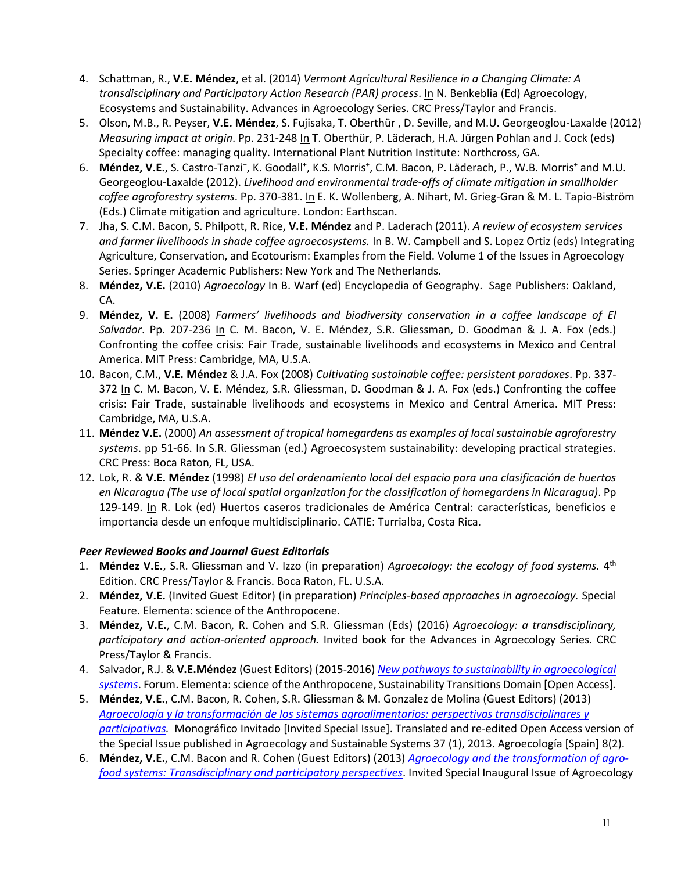- 4. Schattman, R., **V.E. Méndez**, et al. (2014) *Vermont Agricultural Resilience in a Changing Climate: A transdisciplinary and Participatory Action Research (PAR) process*. In N. Benkeblia (Ed) Agroecology, Ecosystems and Sustainability. Advances in Agroecology Series. CRC Press/Taylor and Francis.
- 5. Olson, M.B., R. Peyser, **V.E. Méndez**, S. Fujisaka, T. Oberthür , D. Seville, and M.U. Georgeoglou-Laxalde (2012) *Measuring impact at origin*. Pp. 231-248 In T. Oberthür, P. Läderach, H.A. Jürgen Pohlan and J. Cock (eds) Specialty coffee: managing quality. International Plant Nutrition Institute: Northcross, GA.
- 6. Méndez, V.E., S. Castro-Tanzi<sup>+</sup>, K. Goodall<sup>+</sup>, K.S. Morris<sup>+</sup>, C.M. Bacon, P. Läderach, P., W.B. Morris<sup>+</sup> and M.U. Georgeoglou-Laxalde (2012). *Livelihood and environmental trade-offs of climate mitigation in smallholder coffee agroforestry systems*. Pp. 370-381. In E. K. Wollenberg, A. Nihart, M. Grieg-Gran & M. L. Tapio-Biström (Eds.) Climate mitigation and agriculture. London: Earthscan.
- 7. Jha, S. C.M. Bacon, S. Philpott, R. Rice, **V.E. Méndez** and P. Laderach (2011). *A review of ecosystem services and farmer livelihoods in shade coffee agroecosystems.* In B. W. Campbell and S. Lopez Ortiz (eds) Integrating Agriculture, Conservation, and Ecotourism: Examples from the Field. Volume 1 of the Issues in Agroecology Series. Springer Academic Publishers: New York and The Netherlands.
- 8. **Méndez, V.E.** (2010) *Agroecology* In B. Warf (ed) Encyclopedia of Geography. Sage Publishers: Oakland, CA.
- 9. **Méndez, V. E.** (2008) *Farmers' livelihoods and biodiversity conservation in a coffee landscape of El Salvador*. Pp. 207-236 In C. M. Bacon, V. E. Méndez, S.R. Gliessman, D. Goodman & J. A. Fox (eds.) Confronting the coffee crisis: Fair Trade, sustainable livelihoods and ecosystems in Mexico and Central America. MIT Press: Cambridge, MA, U.S.A.
- 10. Bacon, C.M., **V.E. Méndez** & J.A. Fox (2008) *Cultivating sustainable coffee: persistent paradoxes*. Pp. 337- 372 In C. M. Bacon, V. E. Méndez, S.R. Gliessman, D. Goodman & J. A. Fox (eds.) Confronting the coffee crisis: Fair Trade, sustainable livelihoods and ecosystems in Mexico and Central America. MIT Press: Cambridge, MA, U.S.A.
- 11. **Méndez V.E.** (2000) *An assessment of tropical homegardens as examples of local sustainable agroforestry systems*. pp 51-66. In S.R. Gliessman (ed.) Agroecosystem sustainability: developing practical strategies. CRC Press: Boca Raton, FL, USA.
- 12. Lok, R. & **V.E. Méndez** (1998) *El uso del ordenamiento local del espacio para una clasificación de huertos en Nicaragua (The use of local spatial organization for the classification of homegardens in Nicaragua)*. Pp 129-149. In R. Lok (ed) Huertos caseros tradicionales de América Central: características, beneficios e importancia desde un enfoque multidisciplinario. CATIE: Turrialba, Costa Rica.

# *Peer Reviewed Books and Journal Guest Editorials*

- 1. Méndez V.E., S.R. Gliessman and V. Izzo (in preparation) Agroecology: the ecology of food systems. 4<sup>th</sup> Edition. CRC Press/Taylor & Francis. Boca Raton, FL. U.S.A.
- 2. **Méndez, V.E.** (Invited Guest Editor) (in preparation) *Principles-based approaches in agroecology.* Special Feature. Elementa: science of the Anthropocene*.*
- 3. **Méndez, V.E.**, C.M. Bacon, R. Cohen and S.R. Gliessman (Eds) (2016) *Agroecology: a transdisciplinary, participatory and action-oriented approach.* Invited book for the Advances in Agroecology Series. CRC Press/Taylor & Francis.
- 4. Salvador, R.J. & **V.E.Méndez** (Guest Editors) (2015-2016) *[New pathways to sustainability in agroecological](https://collections.elementascience.org/new-pathways-to-sustainability-in-agroecological-systems/)  [systems](https://collections.elementascience.org/new-pathways-to-sustainability-in-agroecological-systems/)*. Forum. Elementa: science of the Anthropocene, Sustainability Transitions Domain [Open Access]*.*
- 5. **Méndez, V.E.**, C.M. Bacon, R. Cohen, S.R. Gliessman & M. Gonzalez de Molina (Guest Editors) (2013) *[Agroecología y la transformación de los sistemas agroalimentarios: perspectivas transdisciplinares y](http://revistas.um.es/agroecologia/issue/view/13201/showToc)  [participativas.](http://revistas.um.es/agroecologia/issue/view/13201/showToc)* Monográfico Invitado [Invited Special Issue]. Translated and re-edited Open Access version of the Special Issue published in Agroecology and Sustainable Systems 37 (1), 2013. Agroecología [Spain] 8(2).
- 6. **Méndez, V.E.**, C.M. Bacon and R. Cohen (Guest Editors) (2013) *[Agroecology and the transformation of agro](http://www.tandfonline.com/toc/wjsa21/37/1)[food systems: Transdisciplinary and participatory perspectives](http://www.tandfonline.com/toc/wjsa21/37/1)*. Invited Special Inaugural Issue of Agroecology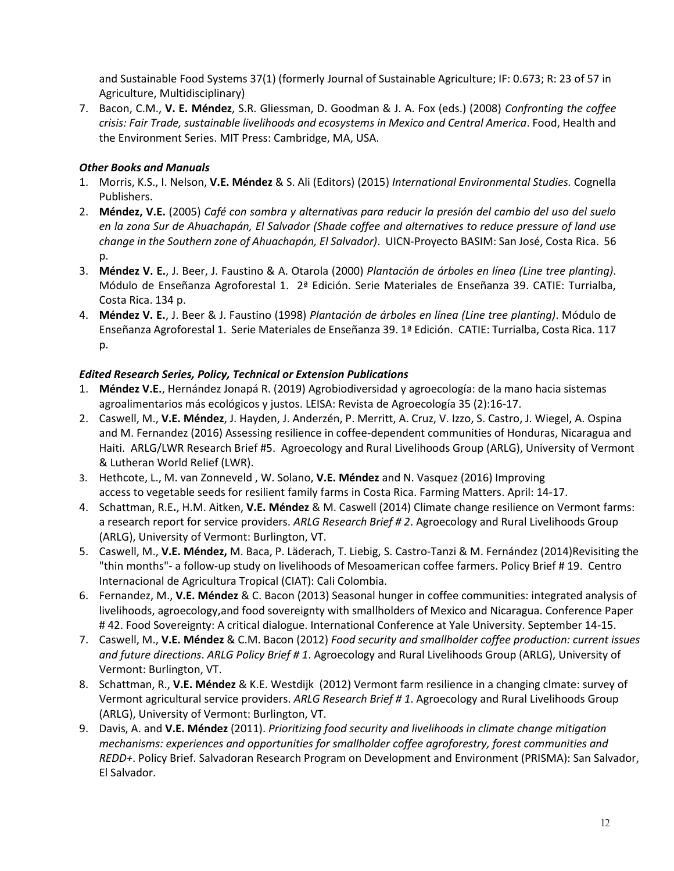and Sustainable Food Systems 37(1) (formerly Journal of Sustainable Agriculture; IF: 0.673; R: 23 of 57 in Agriculture, Multidisciplinary)

7. Bacon, C.M., **V. E. Méndez**, S.R. Gliessman, D. Goodman & J. A. Fox (eds.) (2008) *Confronting the coffee crisis: Fair Trade, sustainable livelihoods and ecosystems in Mexico and Central America*. Food, Health and the Environment Series. MIT Press: Cambridge, MA, USA.

## *Other Books and Manuals*

- 1. Morris, K.S., I. Nelson, **V.E. Méndez** & S. Ali (Editors) (2015) *International Environmental Studies.* Cognella Publishers.
- 2. **Méndez, V.E.** (2005) *Café con sombra y alternativas para reducir la presión del cambio del uso del suelo en la zona Sur de Ahuachapán, El Salvador (Shade coffee and alternatives to reduce pressure of land use change in the Southern zone of Ahuachapán, El Salvador)*. UICN-Proyecto BASIM: San José, Costa Rica. 56 p.
- 3. **Méndez V. E.**, J. Beer, J. Faustino & A. Otarola (2000) *Plantación de árboles en línea (Line tree planting)*. Módulo de Enseñanza Agroforestal 1. 2ª Edición. Serie Materiales de Enseñanza 39. CATIE: Turrialba, Costa Rica. 134 p.
- 4. **Méndez V. E.**, J. Beer & J. Faustino (1998) *Plantación de árboles en línea (Line tree planting)*. Módulo de Enseñanza Agroforestal 1. Serie Materiales de Enseñanza 39. 1ª Edición. CATIE: Turrialba, Costa Rica. 117 p.

### *Edited Research Series, Policy, Technical or Extension Publications*

- 1. **Méndez V.E.**, Hernández Jonapá R. (2019) Agrobiodiversidad y agroecología: de la mano hacia sistemas agroalimentarios más ecológicos y justos. LEISA: Revista de Agroecología 35 (2):16-17.
- 2. Caswell, M., **V.E. Méndez**, J. Hayden, J. Anderzén, P. Merritt, A. Cruz, V. Izzo, S. Castro, J. Wiegel, A. Ospina and M. Fernandez (2016) Assessing resilience in coffee-dependent communities of Honduras, Nicaragua and Haiti. ARLG/LWR Research Brief #5. Agroecology and Rural Livelihoods Group (ARLG), University of Vermont & Lutheran World Relief (LWR).
- 3. Hethcote, L., M. van Zonneveld , W. Solano, **V.E. Méndez** and N. Vasquez (2016) Improving access to vegetable seeds for resilient family farms in Costa Rica. Farming Matters. April: 14-17.
- 4. Schattman, R.E**.**, H.M. Aitken, **V.E. Méndez** & M. Caswell (2014) Climate change resilience on Vermont farms: a research report for service providers. *ARLG Research Brief # 2*. Agroecology and Rural Livelihoods Group (ARLG), University of Vermont: Burlington, VT.
- 5. Caswell, M., **V.E. Méndez,** M. Baca, P. Läderach, T. Liebig, S. Castro-Tanzi & M. Fernández (2014)Revisiting the "thin months"- a follow-up study on livelihoods of Mesoamerican coffee farmers. Policy Brief # 19. Centro Internacional de Agricultura Tropical (CIAT): Cali Colombia.
- 6. Fernandez, M., **V.E. Méndez** & C. Bacon (2013) Seasonal hunger in coffee communities: integrated analysis of livelihoods, agroecology,and food sovereignty with smallholders of Mexico and Nicaragua. Conference Paper # 42. Food Sovereignty: A critical dialogue. International Conference at Yale University. September 14-15.
- 7. Caswell, M., **V.E. Méndez** & C.M. Bacon (2012) *Food security and smallholder coffee production: current issues and future directions*. *ARLG Policy Brief # 1*. Agroecology and Rural Livelihoods Group (ARLG), University of Vermont: Burlington, VT.
- 8. Schattman, R., **V.E. Méndez** & K.E. Westdijk (2012) Vermont farm resilience in a changing clmate: survey of Vermont agricultural service providers. *ARLG Research Brief # 1*. Agroecology and Rural Livelihoods Group (ARLG), University of Vermont: Burlington, VT.
- 9. Davis, A. and **V.E. Méndez** (2011). *Prioritizing food security and livelihoods in climate change mitigation mechanisms: experiences and opportunities for smallholder coffee agroforestry, forest communities and REDD+*. Policy Brief. Salvadoran Research Program on Development and Environment (PRISMA): San Salvador, El Salvador.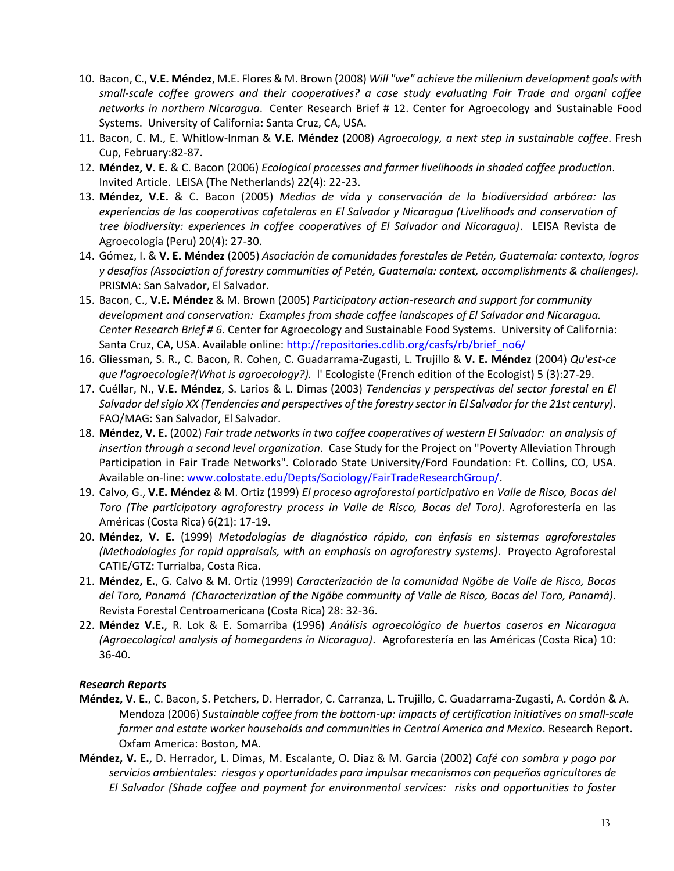- 10. Bacon, C., **V.E. Méndez**, M.E. Flores & M. Brown (2008) *Will "we" achieve the millenium development goals with small-scale coffee growers and their cooperatives? a case study evaluating Fair Trade and organi coffee networks in northern Nicaragua*. Center Research Brief # 12. Center for Agroecology and Sustainable Food Systems. University of California: Santa Cruz, CA, USA.
- 11. Bacon, C. M., E. Whitlow-Inman & **V.E. Méndez** (2008) *Agroecology, a next step in sustainable coffee*. Fresh Cup, February:82-87.
- 12. **Méndez, V. E.** & C. Bacon (2006) *Ecological processes and farmer livelihoods in shaded coffee production*. Invited Article. LEISA (The Netherlands) 22(4): 22-23.
- 13. **Méndez, V.E.** & C. Bacon (2005) *Medios de vida y conservación de la biodiversidad arbórea: las experiencias de las cooperativas cafetaleras en El Salvador y Nicaragua (Livelihoods and conservation of tree biodiversity: experiences in coffee cooperatives of El Salvador and Nicaragua)*. LEISA Revista de Agroecología (Peru) 20(4): 27-30.
- 14. Gómez, I. & **V. E. Méndez** (2005) *Asociación de comunidades forestales de Petén, Guatemala: contexto, logros y desafíos (Association of forestry communities of Petén, Guatemala: context, accomplishments & challenges).* PRISMA: San Salvador, El Salvador.
- 15. Bacon, C., **V.E. Méndez** & M. Brown (2005) *Participatory action-research and support for community development and conservation: Examples from shade coffee landscapes of El Salvador and Nicaragua. Center Research Brief # 6*. Center for Agroecology and Sustainable Food Systems. University of California: Santa Cruz, CA, USA. Available online: [http://repositories.cdlib.org/casfs/rb/brief\\_no6/](http://repositories.cdlib.org/casfs/rb/brief_no6/)
- 16. Gliessman, S. R., C. Bacon, R. Cohen, C. Guadarrama-Zugasti, L. Trujillo & **V. E. Méndez** (2004) *Qu'est-ce que l'agroecologie?(What is agroecology?).* l' Ecologiste (French edition of the Ecologist) 5 (3):27-29.
- 17. Cuéllar, N., **V.E. Méndez**, S. Larios & L. Dimas (2003) *Tendencias y perspectivas del sector forestal en El Salvador del siglo XX (Tendencies and perspectives of the forestry sector in El Salvador for the 21st century)*. FAO/MAG: San Salvador, El Salvador.
- 18. **Méndez, V. E.** (2002) *Fair trade networks in two coffee cooperatives of western El Salvador: an analysis of insertion through a second level organization*. Case Study for the Project on "Poverty Alleviation Through Participation in Fair Trade Networks". Colorado State University/Ford Foundation: Ft. Collins, CO, USA. Available on-line: [www.colostate.edu/Depts/Sociology/FairTradeResearchGroup/.](http://www.colostate.edu/Depts/Sociology/FairTradeResearchGroup/)
- 19. Calvo, G., **V.E. Méndez** & M. Ortiz (1999) *El proceso agroforestal participativo en Valle de Risco, Bocas del Toro (The participatory agroforestry process in Valle de Risco, Bocas del Toro)*. Agroforestería en las Américas (Costa Rica) 6(21): 17-19.
- 20. **Méndez, V. E.** (1999) *Metodologías de diagnóstico rápido, con énfasis en sistemas agroforestales (Methodologies for rapid appraisals, with an emphasis on agroforestry systems)*. Proyecto Agroforestal CATIE/GTZ: Turrialba, Costa Rica.
- 21. **Méndez, E.**, G. Calvo & M. Ortiz (1999) *Caracterización de la comunidad Ngöbe de Valle de Risco, Bocas del Toro, Panamá (Characterization of the Ngöbe community of Valle de Risco, Bocas del Toro, Panamá)*. Revista Forestal Centroamericana (Costa Rica) 28: 32-36.
- 22. **Méndez V.E.**, R. Lok & E. Somarriba (1996) *Análisis agroecológico de huertos caseros en Nicaragua (Agroecological analysis of homegardens in Nicaragua)*. Agroforestería en las Américas (Costa Rica) 10: 36-40.

## *Research Reports*

- **Méndez, V. E.**, C. Bacon, S. Petchers, D. Herrador, C. Carranza, L. Trujillo, C. Guadarrama-Zugasti, A. Cordón & A. Mendoza (2006) *Sustainable coffee from the bottom-up: impacts of certification initiatives on small-scale farmer and estate worker households and communities in Central America and Mexico*. Research Report. Oxfam America: Boston, MA.
- **Méndez, V. E.**, D. Herrador, L. Dimas, M. Escalante, O. Diaz & M. Garcia (2002) *Café con sombra y pago por servicios ambientales: riesgos y oportunidades para impulsar mecanismos con pequeños agricultores de El Salvador (Shade coffee and payment for environmental services: risks and opportunities to foster*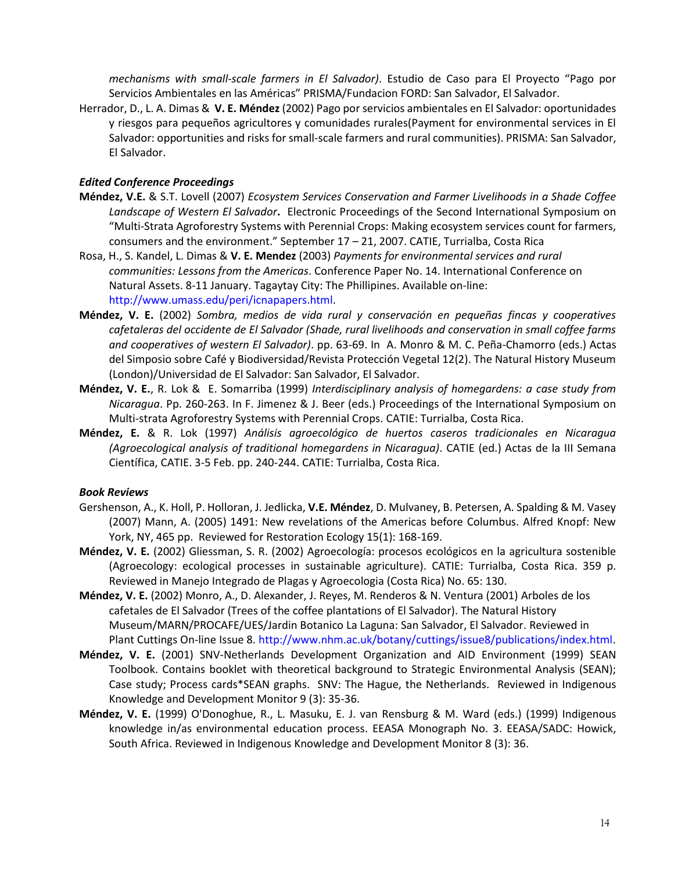*mechanisms with small-scale farmers in El Salvador)*. Estudio de Caso para El Proyecto "Pago por Servicios Ambientales en las Américas" PRISMA/Fundacion FORD: San Salvador, El Salvador.

Herrador, D., L. A. Dimas & **V. E. Méndez** (2002) Pago por servicios ambientales en El Salvador: oportunidades y riesgos para pequeños agricultores y comunidades rurales(Payment for environmental services in El Salvador: opportunities and risks for small-scale farmers and rural communities). PRISMA: San Salvador, El Salvador.

## *Edited Conference Proceedings*

- **Méndez, V.E.** & S.T. Lovell (2007) *Ecosystem Services Conservation and Farmer Livelihoods in a Shade Coffee Landscape of Western El Salvador***.** Electronic Proceedings of the Second International Symposium on "Multi-Strata Agroforestry Systems with Perennial Crops: Making ecosystem services count for farmers, consumers and the environment." September 17 – 21, 2007. CATIE, Turrialba, Costa Rica
- Rosa, H., S. Kandel, L. Dimas & **V. E. Mendez** (2003) *Payments for environmental services and rural communities: Lessons from the Americas*. Conference Paper No. 14. International Conference on Natural Assets. 8-11 January. Tagaytay City: The Phillipines. Available on-line: [http://www.umass.edu/peri/icnapapers.html.](http://www.umass.edu/peri/icnapapers.html)
- **Méndez, V. E.** (2002) *Sombra, medios de vida rural y conservación en pequeñas fincas y cooperatives cafetaleras del occidente de El Salvador (Shade, rural livelihoods and conservation in small coffee farms and cooperatives of western El Salvador)*. pp. 63-69. In A. Monro & M. C. Peña-Chamorro (eds.) Actas del Simposio sobre Café y Biodiversidad/Revista Protección Vegetal 12(2). The Natural History Museum (London)/Universidad de El Salvador: San Salvador, El Salvador.
- **Méndez, V. E.**, R. Lok & E. Somarriba (1999) *Interdisciplinary analysis of homegardens: a case study from Nicaragua*. Pp. 260-263. In F. Jimenez & J. Beer (eds.) Proceedings of the International Symposium on Multi-strata Agroforestry Systems with Perennial Crops. CATIE: Turrialba, Costa Rica.
- **Méndez, E.** & R. Lok (1997) *Análisis agroecológico de huertos caseros tradicionales en Nicaragua (Agroecological analysis of traditional homegardens in Nicaragua)*. CATIE (ed.) Actas de la III Semana Científica, CATIE. 3-5 Feb. pp. 240-244. CATIE: Turrialba, Costa Rica.

#### *Book Reviews*

- Gershenson, A., K. Holl, P. Holloran, J. Jedlicka, **V.E. Méndez**, D. Mulvaney, B. Petersen, A. Spalding & M. Vasey (2007) Mann, A. (2005) 1491: New revelations of the Americas before Columbus. Alfred Knopf: New York, NY, 465 pp. Reviewed for Restoration Ecology 15(1): 168-169.
- **Méndez, V. E.** (2002) Gliessman, S. R. (2002) Agroecología: procesos ecológicos en la agricultura sostenible (Agroecology: ecological processes in sustainable agriculture). CATIE: Turrialba, Costa Rica. 359 p. Reviewed in Manejo Integrado de Plagas y Agroecologia (Costa Rica) No. 65: 130.
- **Méndez, V. E.** (2002) Monro, A., D. Alexander, J. Reyes, M. Renderos & N. Ventura (2001) Arboles de los cafetales de El Salvador (Trees of the coffee plantations of El Salvador). The Natural History Museum/MARN/PROCAFE/UES/Jardin Botanico La Laguna: San Salvador, El Salvador. Reviewed in Plant Cuttings On-line Issue 8. [http://www.nhm.ac.uk/botany/cuttings/issue8/publications/index.html.](http://www.nhm.ac.uk/botany/cuttings/issue8/publications/index.html)
- **Méndez, V. E.** (2001) SNV-Netherlands Development Organization and AID Environment (1999) SEAN Toolbook. Contains booklet with theoretical background to Strategic Environmental Analysis (SEAN); Case study; Process cards\*SEAN graphs. SNV: The Hague, the Netherlands. Reviewed in Indigenous Knowledge and Development Monitor 9 (3): 35-36.
- **Méndez, V. E.** (1999) O'Donoghue, R., L. Masuku, E. J. van Rensburg & M. Ward (eds.) (1999) Indigenous knowledge in/as environmental education process. EEASA Monograph No. 3. EEASA/SADC: Howick, South Africa. Reviewed in Indigenous Knowledge and Development Monitor 8 (3): 36.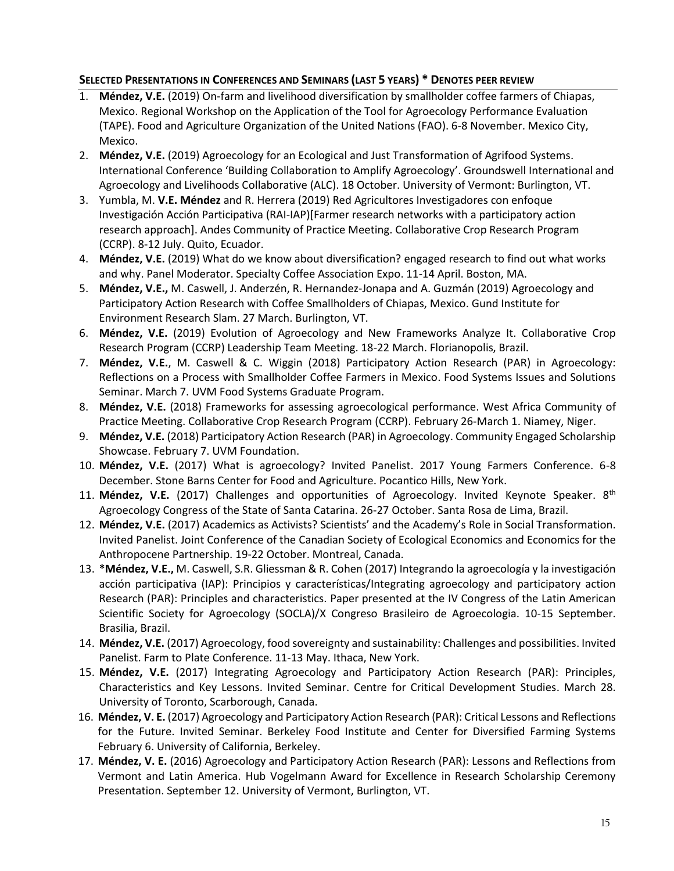## **SELECTED PRESENTATIONS IN CONFERENCES AND SEMINARS (LAST 5 YEARS) \* DENOTES PEER REVIEW**

- 1. **Méndez, V.E.** (2019) On-farm and livelihood diversification by smallholder coffee farmers of Chiapas, Mexico. Regional Workshop on the Application of the Tool for Agroecology Performance Evaluation (TAPE). Food and Agriculture Organization of the United Nations (FAO). 6-8 November. Mexico City, Mexico.
- 2. **Méndez, V.E.** (2019) Agroecology for an Ecological and Just Transformation of Agrifood Systems. International Conference 'Building Collaboration to Amplify Agroecology'. Groundswell International and Agroecology and Livelihoods Collaborative (ALC). 18 October. University of Vermont: Burlington, VT.
- 3. Yumbla, M. **V.E. Méndez** and R. Herrera (2019) Red Agricultores Investigadores con enfoque Investigación Acción Participativa (RAI-IAP)[Farmer research networks with a participatory action research approach]. Andes Community of Practice Meeting. Collaborative Crop Research Program (CCRP). 8-12 July. Quito, Ecuador.
- 4. **Méndez, V.E.** (2019) What do we know about diversification? engaged research to find out what works and why. Panel Moderator. Specialty Coffee Association Expo. 11-14 April. Boston, MA.
- 5. **Méndez, V.E.,** M. Caswell, J. Anderzén, R. Hernandez-Jonapa and A. Guzmán (2019) Agroecology and Participatory Action Research with Coffee Smallholders of Chiapas, Mexico. Gund Institute for Environment Research Slam. 27 March. Burlington, VT.
- 6. **Méndez, V.E.** (2019) Evolution of Agroecology and New Frameworks Analyze It. Collaborative Crop Research Program (CCRP) Leadership Team Meeting. 18-22 March. Florianopolis, Brazil.
- 7. **Méndez, V.E.**, M. Caswell & C. Wiggin (2018) Participatory Action Research (PAR) in Agroecology: Reflections on a Process with Smallholder Coffee Farmers in Mexico. Food Systems Issues and Solutions Seminar. March 7. UVM Food Systems Graduate Program.
- 8. **Méndez, V.E.** (2018) Frameworks for assessing agroecological performance. West Africa Community of Practice Meeting. Collaborative Crop Research Program (CCRP). February 26-March 1. Niamey, Niger.
- 9. **Méndez, V.E.** (2018) Participatory Action Research (PAR) in Agroecology. Community Engaged Scholarship Showcase. February 7. UVM Foundation.
- 10. **Méndez, V.E.** (2017) What is agroecology? Invited Panelist. 2017 Young Farmers Conference. 6-8 December. Stone Barns Center for Food and Agriculture. Pocantico Hills, New York.
- 11. **Méndez, V.E.** (2017) Challenges and opportunities of Agroecology. Invited Keynote Speaker. 8th Agroecology Congress of the State of Santa Catarina. 26-27 October. Santa Rosa de Lima, Brazil.
- 12. **Méndez, V.E.** (2017) Academics as Activists? Scientists' and the Academy's Role in Social Transformation. Invited Panelist. Joint Conference of the Canadian Society of Ecological Economics and Economics for the Anthropocene Partnership. 19-22 October. Montreal, Canada.
- 13. **\*Méndez, V.E.,** M. Caswell, S.R. Gliessman & R. Cohen (2017) Integrando la agroecología y la investigación acción participativa (IAP): Principios y características/Integrating agroecology and participatory action Research (PAR): Principles and characteristics. Paper presented at the IV Congress of the Latin American Scientific Society for Agroecology (SOCLA)/X Congreso Brasileiro de Agroecologia. 10-15 September. Brasilia, Brazil.
- 14. **Méndez, V.E.** (2017) Agroecology, food sovereignty and sustainability: Challenges and possibilities. Invited Panelist. Farm to Plate Conference. 11-13 May. Ithaca, New York.
- 15. **Méndez, V.E.** (2017) Integrating Agroecology and Participatory Action Research (PAR): Principles, Characteristics and Key Lessons. Invited Seminar. Centre for Critical Development Studies. March 28. University of Toronto, Scarborough, Canada.
- 16. **Méndez, V. E.** (2017) Agroecology and Participatory Action Research (PAR): Critical Lessons and Reflections for the Future. Invited Seminar. Berkeley Food Institute and Center for Diversified Farming Systems February 6. University of California, Berkeley.
- 17. **Méndez, V. E.** (2016) Agroecology and Participatory Action Research (PAR): Lessons and Reflections from Vermont and Latin America. Hub Vogelmann Award for Excellence in Research Scholarship Ceremony Presentation. September 12. University of Vermont, Burlington, VT.